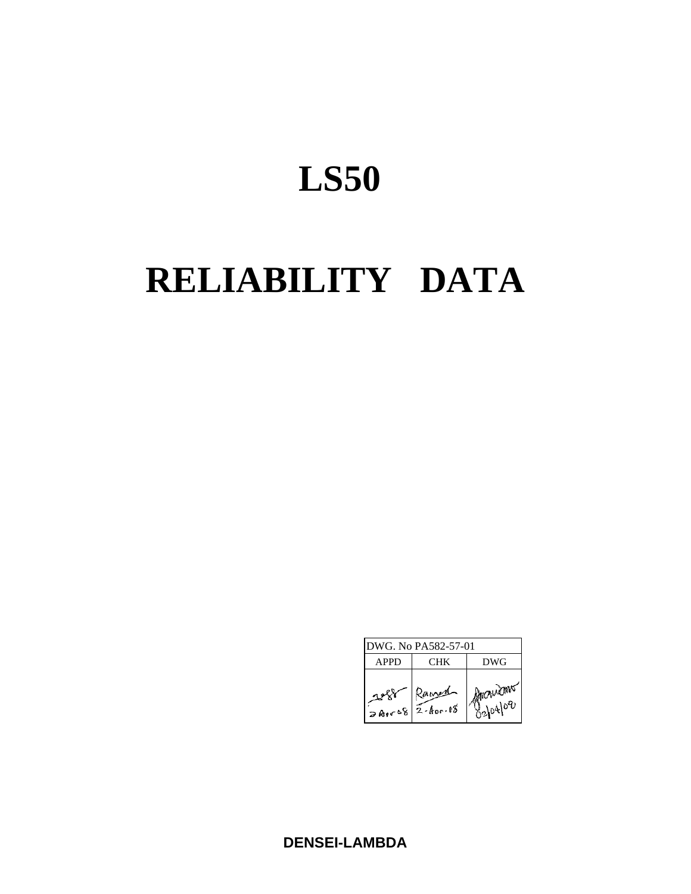# **LS50**

# **RELIABILITY DATA**

| DWG. No PA582-57-01 |                       |                    |  |  |  |
|---------------------|-----------------------|--------------------|--|--|--|
| APPD                | CHK)                  | DWG                |  |  |  |
| المعمشر             | Ramen<br>$= 2.400.08$ | MICHAEMS<br>820400 |  |  |  |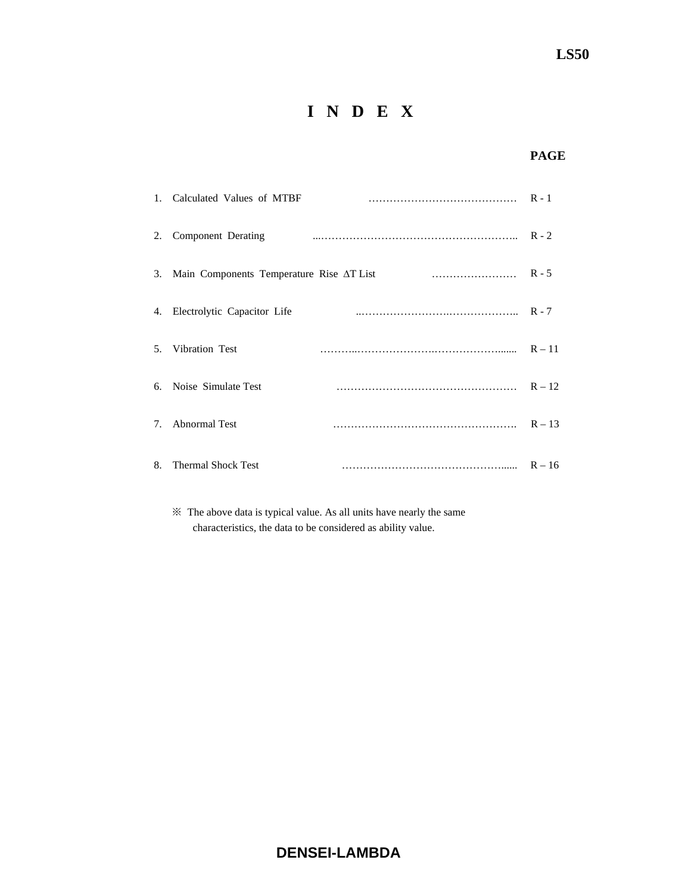# **I N D E X**

## **PAGE**

|                                  | 1. Calculated Values of MTBF                |          |
|----------------------------------|---------------------------------------------|----------|
| 2.                               | Component Derating                          |          |
|                                  | 3. Main Components Temperature Rise AT List |          |
|                                  | 4. Electrolytic Capacitor Life              |          |
|                                  | 5. Vibration Test                           |          |
|                                  | 6. Noise Simulate Test                      | $R - 12$ |
| $7_{\scriptscriptstyle{\ddots}}$ | <b>Abnormal Test</b>                        | $R - 13$ |
| 8.                               | <b>Thermal Shock Test</b>                   | $R - 16$ |

 ※ The above data is typical value. As all units have nearly the same characteristics, the data to be considered as ability value.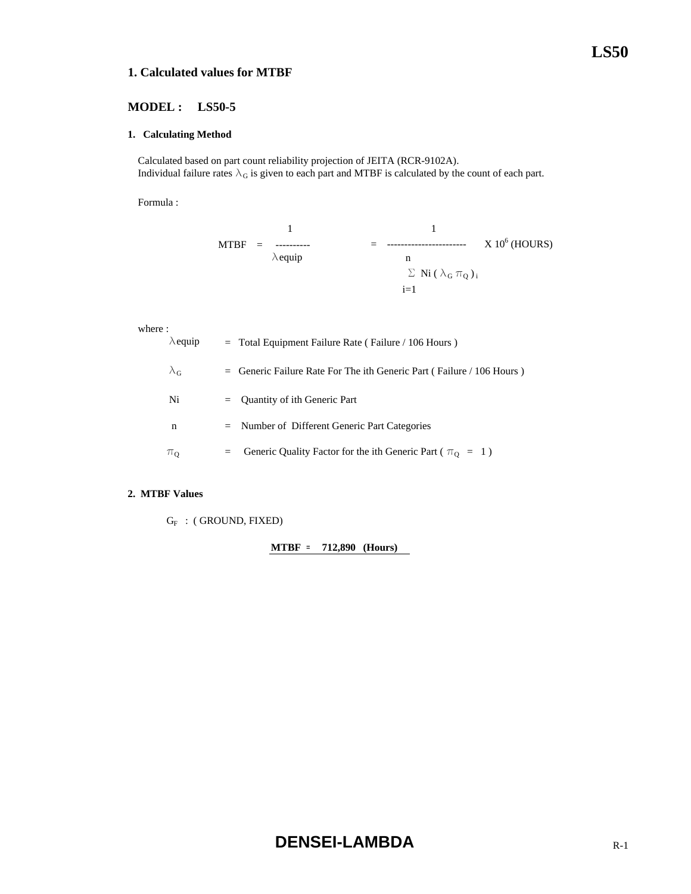#### **1. Calculated values for MTBF**

#### **MODEL : LS50-5**

#### **1. Calculating Method**

 Calculated based on part count reliability projection of JEITA (RCR-9102A). Individual failure rates  $\lambda_G$  is given to each part and MTBF is calculated by the count of each part.

Formula :

$$
\begin{array}{rcl}\n & 1 & & 1 \\
\text{MTBF} & = & \text{........}\n & & \\
\text{Aequiv} & & & \\
\hline\n\text{Aequiv} & & & \\
\text{Aequiv} & & & \\
\text{Aequiv} & & & \\
\text{Aequiv} & & & \\
\text{Aequiv} & & & \\
\text{Aequiv} & & & \\
\text{Aequiv} & & & \\
\text{Aequiv} & & & \\
\text{Aequiv} & & & \\
\text{Aequiv} & & & \\
\text{Aequiv} & & & \\
\text{Aequiv} & & & \\
\text{Aequiv} & & & \\
\text{Aequiv} & & & \\
\text{Aequiv} & & & \\
\text{Aequiv} & & & \\
\text{Aequiv} & & & \\
\text{Aequiv} & & & \\
\text{Aequiv} & & & \\
\text{Aequiv} & & & \\
\text{Aequiv} & & & \\
\text{Aequiv} & & & \\
\text{Aequiv} & & & \\
\text{Aequiv} & & & \\
\text{Aequiv} & & & \\
\text{Aequiv} & & & \\
\text{Aequiv} & & & \\
\text{Aequiv} & & & \\
\text{Aequiv} & & & \\
\text{Aequiv} & & & \\
\text{Aequiv} & & & \\
\text{Aequiv} & & & \\
\text{Aequiv} & & & \\
\text{Aequiv} & & & \\
\text{Aequiv} & & & \\
\text{Aequiv} & & & \\
\text{Aequiv} & & & \\
\text{Aequiv} & & & \\
\text{Aequiv} & & & \\
\text{Aequiv} & & & \\
\text{Aequiv} & & & \\
\text{Aequiv} & & & \\
\text{Aequiv} & & & \\
\text{
$$

#### where :

| $\lambda$ equip   | $=$ Total Equipment Failure Rate (Failure / 106 Hours)                  |
|-------------------|-------------------------------------------------------------------------|
| $\lambda_{\rm G}$ | $=$ Generic Failure Rate For The ith Generic Part (Failure / 106 Hours) |
| Ni                | $=$ Quantity of ith Generic Part                                        |
| n                 | $=$ Number of Different Generic Part Categories                         |
| $\pi_{0}$         | Generic Quality Factor for the ith Generic Part ( $\pi_0 = 1$ )<br>$=$  |

#### **2. MTBF Values**

 $G_F$  : (GROUND, FIXED)

**MTBF = 712,890 (Hours)**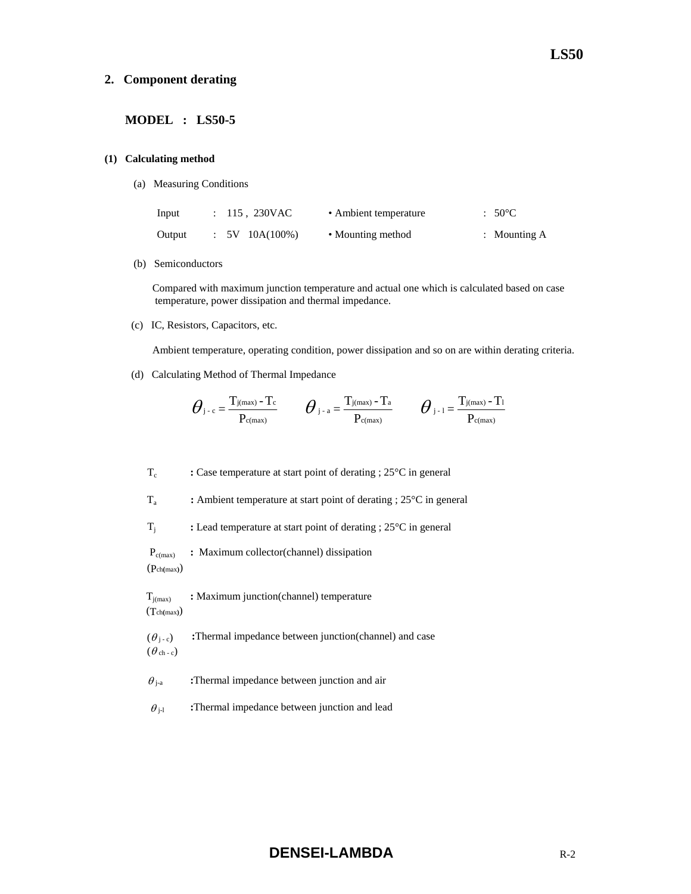#### **2. Component derating**

#### **MODEL : LS50-5**

#### **(1) Calculating method**

(a) Measuring Conditions

| Input  | : 115, 230VAC     | • Ambient temperature | $:50^{\circ}$ C |
|--------|-------------------|-----------------------|-----------------|
| Output | $: 5V 10A(100\%)$ | • Mounting method     | : Mounting $A$  |

(b) Semiconductors

 Compared with maximum junction temperature and actual one which is calculated based on case temperature, power dissipation and thermal impedance.

(c) IC, Resistors, Capacitors, etc.

Ambient temperature, operating condition, power dissipation and so on are within derating criteria.

(d) Calculating Method of Thermal Impedance

$$
\boldsymbol{\theta}_{\text{j-c}}\!=\!\frac{T_{\text{j}(max)}-T_{\text{c}}}{P_{\text{c}(max)}}\qquad \boldsymbol{\theta}_{\text{j-a}}\!=\!\frac{T_{\text{j}(max)}-T_{\text{a}}}{P_{\text{c}(max)}}\qquad \boldsymbol{\theta}_{\text{j-1}}\!=\!\frac{T_{\text{j}(max)}-T_{\text{1}}}{P_{\text{c}(max)}}
$$

Tc **:** Case temperature at start point of derating ; 25°C in general

Ta **:** Ambient temperature at start point of derating ; 25°C in general

Tj **:** Lead temperature at start point of derating ; 25°C in general

Pc(max) **:** Maximum collector(channel) dissipation

(Pch**(**max**)**)

**T**<sub>j(max)</sub> : Maximum junction(channel) temperature (Tch**(**max**)**)

 $(\theta_{i-c})$  **:**Thermal impedance between junction(channel) and case  $(\theta_{ch-c})$ 

 $\theta_{j-a}$  **:**Thermal impedance between junction and air

 $\theta_{j-l}$  **:**Thermal impedance between junction and lead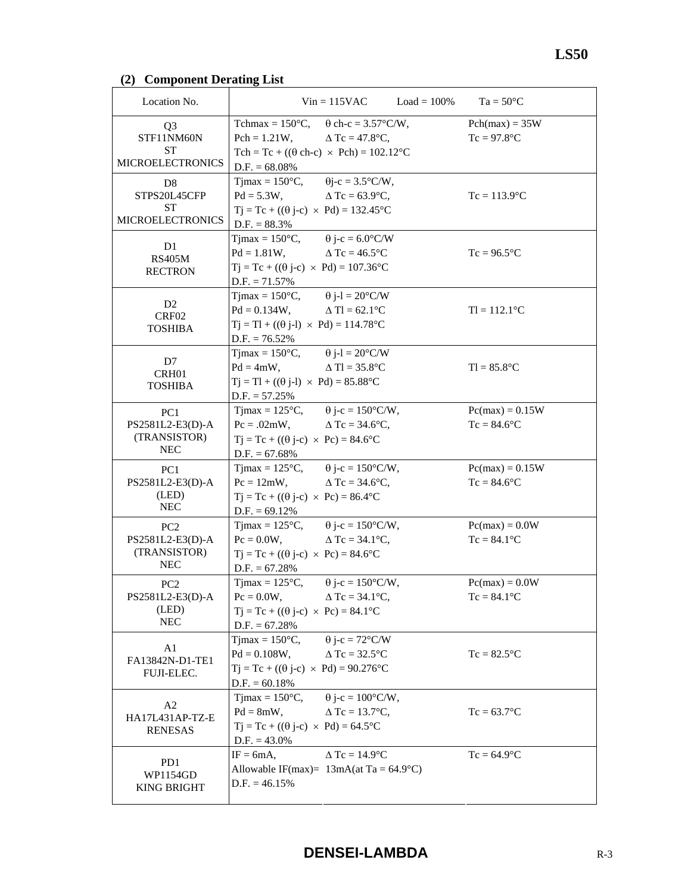# **(2) Component Derating List**

| Location No.                                                      | $Vin = 115VAC$                                                                                                                                                                      | $Load = 100\%$<br>$Ta = 50^{\circ}C$ |
|-------------------------------------------------------------------|-------------------------------------------------------------------------------------------------------------------------------------------------------------------------------------|--------------------------------------|
| Q <sub>3</sub><br>STF11NM60N<br>SТ                                | Tchmax = $150^{\circ}$ C, $\theta$ ch-c = $3.57^{\circ}$ C/W,<br>Pch = 1.21W, $\Delta$ Tc = 47.8°C,<br>Tch = Tc + (( $\theta$ ch-c) × Pch) = 102.12 <sup>o</sup> C                  | $Pch(max) = 35W$<br>$Tc = 97.8$ °C   |
| <b>MICROELECTRONICS</b><br>D <sub>8</sub>                         | $D.F. = 68.08\%$<br>$T$ jmax = 150 $\degree$ C,<br>$\theta$ j-c = 3.5°C/W,                                                                                                          |                                      |
| STPS20L45CFP<br><b>ST</b><br><b>MICROELECTRONICS</b>              | $Pd = 5.3W,$<br>$\Delta$ Tc = 63.9°C,<br>$Tj = Tc + ((\theta j - c) \times Pd) = 132.45^{\circ}C$<br>$D.F. = 88.3\%$                                                                | $Tc = 113.9$ °C                      |
| D <sub>1</sub><br><b>RS405M</b><br><b>RECTRON</b>                 | Tjmax = $150^{\circ}$ C, $\theta$ j-c = 6.0°C/W<br>$Pd = 1.81W,$<br>$\triangle$ Tc = 46.5 $\degree$ C<br>$Tj = Tc + ((\theta j-c) \times Pd) = 107.36^{\circ}C$<br>$D.F. = 71.57\%$ | $Tc = 96.5$ °C                       |
| D <sub>2</sub><br>CRF <sub>02</sub><br><b>TOSHIBA</b>             | Timax = $150^{\circ}$ C, $\theta$ j-l = $20^{\circ}$ C/W<br>$Pd = 0.134W$ , $\Delta Tl = 62.1^{\circ}C$<br>$Tj = Tl + ((\theta j-l) \times Pd) = 114.78$ °C<br>$D.F. = 76.52\%$     | $TI = 112.1$ °C                      |
| D7<br>CRH01<br><b>TOSHIBA</b>                                     | Timax = $150^{\circ}$ C, $\theta$ j-l = $20^{\circ}$ C/W<br>$Pd = 4mW,$<br>$\triangle$ Tl = 35.8°C<br>$Tj = Tl + ((\theta j-l) \times Pd) = 85.88^{\circ}C$<br>$D.F. = 57.25\%$     | $TI = 85.8$ °C                       |
| PC <sub>1</sub><br>PS2581L2-E3(D)-A<br>(TRANSISTOR)<br><b>NEC</b> | Tjmax = $125^{\circ}$ C, $\theta$ j-c = $150^{\circ}$ C/W,<br>$Pc = .02mW,$ $\Delta Tc = 34.6^{\circ}C,$<br>$Tj = Tc + ((\theta j - c) \times Pc) = 84.6$ °C<br>$D.F. = 67.68\%$    | $Pc(max) = 0.15W$<br>$Tc = 84.6$ °C  |
| PC <sub>1</sub><br>PS2581L2-E3(D)-A<br>(LED)<br><b>NEC</b>        | Tjmax = $125^{\circ}$ C, $\theta$ j-c = $150^{\circ}$ C/W,<br>$Pc = 12mW$ ,<br>$\Delta$ Tc = 34.6°C,<br>$Tj = Tc + ((\theta j - c) \times Pc) = 86.4$ °C<br>$D.F. = 69.12\%$        | $Pc(max) = 0.15W$<br>$Tc = 84.6$ °C  |
| PC2<br>PS2581L2-E3(D)-A<br>(TRANSISTOR)<br><b>NEC</b>             | Tjmax = $125^{\circ}$ C, $\theta$ j-c = $150^{\circ}$ C/W,<br>$\Delta$ Tc = 34.1°C,<br>$Pc = 0.0W$ ,<br>$Tj = Tc + ((\theta j - c) \times Pc) = 84.6$ °C<br>$D.F. = 67.28%$         | $Pc(max) = 0.0W$<br>$Tc = 84.1$ °C   |
| PC <sub>2</sub><br>PS2581L2-E3(D)-A<br>(LED)<br><b>NEC</b>        | $\theta$ j-c = 150°C/W,<br>$T$ jmax = 125 $\mathrm{^{\circ}C}$ ,<br>$Pc = 0.0W$ ,<br>$\Delta$ Tc = 34.1°C,<br>$Tj = Tc + ((\theta j - c) \times Pc) = 84.1$ °C<br>$D.F. = 67.28%$   | $Pc(max) = 0.0W$<br>$Tc = 84.1$ °C   |
| A1<br>FA13842N-D1-TE1<br><b>FUJI-ELEC.</b>                        | $\theta$ j-c = 72°C/W<br>Tjmax = $150^{\circ}$ C,<br>$Pd = 0.108W,$<br>$\triangle$ Tc = 32.5°C<br>$Tj = Tc + ((\theta j - c) \times Pd) = 90.276$ °C<br>$D.F. = 60.18\%$            | $Tc = 82.5$ °C                       |
| A2<br>HA17L431AP-TZ-E<br><b>RENESAS</b>                           | $\theta$ j-c = 100°C/W,<br>$T$ jmax = 150 $\degree$ C,<br>$Pd = 8mW,$<br>$\Delta$ Tc = 13.7°C,<br>$Tj = Tc + ((\theta j - c) \times Pd) = 64.5^{\circ}C$<br>$D.F. = 43.0\%$         | $Tc = 63.7$ °C                       |
| PD1<br>WP1154GD<br><b>KING BRIGHT</b>                             | $\triangle$ Tc = 14.9 $^{\circ}$ C<br>$IF = 6mA,$<br>Allowable IF(max)= $13mA(at Ta = 64.9°C)$<br>$D.F. = 46.15\%$                                                                  | $Tc = 64.9$ °C                       |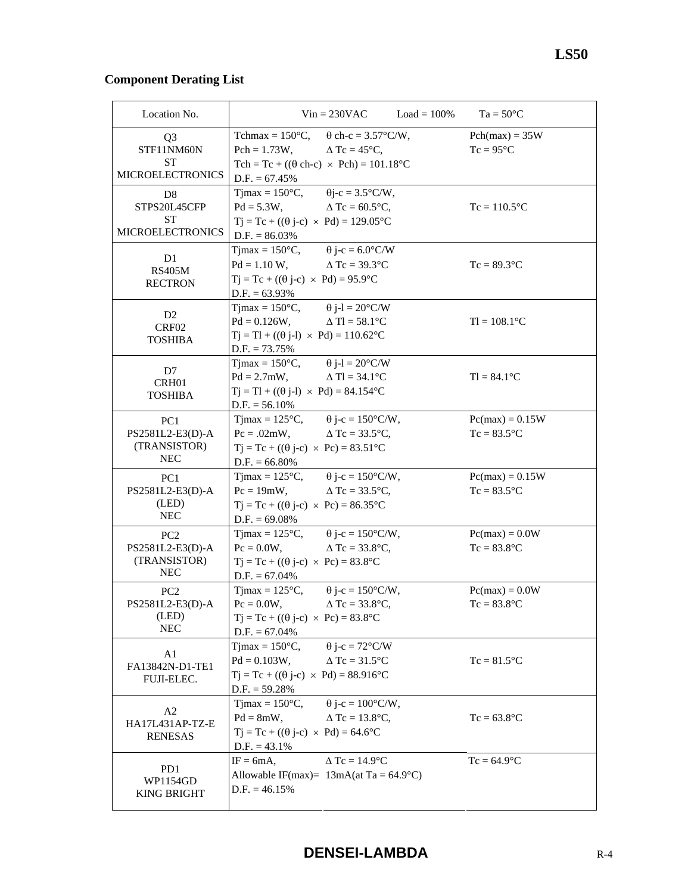# **Component Derating List**

| Location No.                                                      |                                                                                                                                                                                          | $Vin = 230VAC$                                   | $Load = 100\%$ | $Ta = 50^{\circ}C$                     |
|-------------------------------------------------------------------|------------------------------------------------------------------------------------------------------------------------------------------------------------------------------------------|--------------------------------------------------|----------------|----------------------------------------|
| Q3<br>STF11NM60N                                                  | Tchmax = $150^{\circ}$ C, $\theta$ ch-c = $3.57^{\circ}$ C/W,<br>$Pch = 1.73W,$                                                                                                          | $\Delta$ Tc = 45°C,                              |                | $Pch(max) = 35W$<br>$Tc = 95^{\circ}C$ |
| <b>ST</b><br><b>MICROELECTRONICS</b>                              | Tch = Tc + (( $\theta$ ch-c) × Pch) = 101.18°C<br>$D.F. = 67.45\%$                                                                                                                       |                                                  |                |                                        |
| D <sub>8</sub><br>STPS20L45CFP<br><b>ST</b>                       | Tjmax = $150^{\circ}$ C, $\theta$ j-c = $3.5^{\circ}$ C/W,<br>$Pd = 5.3W,$                                                                                                               | $\Delta$ Tc = 60.5°C,                            |                | $Tc = 110.5$ °C                        |
| <b>MICROELECTRONICS</b>                                           | $Tj = Tc + ((\theta j - c) \times Pd) = 129.05^{\circ}C$<br>$D.F. = 86.03\%$                                                                                                             |                                                  |                |                                        |
| D <sub>1</sub><br><b>RS405M</b><br><b>RECTRON</b>                 | Tjmax = $150^{\circ}$ C, $\theta$ j-c = 6.0°C/W<br>$Pd = 1.10 W$ , $\Delta Tc = 39.3^{\circ}C$<br>$Tj = Tc + ((\theta j - c) \times Pd) = 95.9^{\circ}C$<br>$D.F. = 63.93\%$             |                                                  |                | $Tc = 89.3$ °C                         |
| D <sub>2</sub><br>CRF02<br><b>TOSHIBA</b>                         | Tjmax = $150^{\circ}$ C, $\theta$ j-l = $20^{\circ}$ C/W<br>$Pd = 0.126W,$<br>$Tj = Tl + ((\theta j-l) \times Pd) = 110.62$ °C<br>$D.F. = 73.75\%$                                       | $\Delta$ Tl = 58.1°C                             |                | $TI = 108.1$ °C                        |
| D7<br>CRH01<br><b>TOSHIBA</b>                                     | Tjmax = $150^{\circ}$ C, $\qquad \theta$ j-l = $20^{\circ}$ C/W<br>$Pd = 2.7mW,$<br>$Tj = Tl + ((\theta j-l) \times Pd) = 84.154$ °C<br>$D.F. = 56.10\%$                                 | $\triangle$ Tl = 34.1 $^{\circ}$ C               |                | $TI = 84.1^{\circ}C$                   |
| PC1<br>PS2581L2-E3(D)-A<br>(TRANSISTOR)<br><b>NEC</b>             | Tjmax = $125^{\circ}$ C, $\theta$ j-c = $150^{\circ}$ C/W,<br>$Pc = .02mW,$<br>$Tj = Tc + ((\theta j - c) \times Pc) = 83.51^{\circ}C$<br>$D.F. = 66.80\%$                               | $\triangle$ Tc = 33.5 $^{\circ}$ C,              |                | $Pc(max) = 0.15W$<br>$Tc = 83.5$ °C    |
| PC <sub>1</sub><br>PS2581L2-E3(D)-A<br>(LED)<br><b>NEC</b>        | Tjmax = $125^{\circ}$ C, $\theta$ j-c = $150^{\circ}$ C/W,<br>$Pc = 19mW$ , $\Delta Tc = 33.5^{\circ}C$ ,<br>$Tj = Tc + ((\theta j - c) \times Pc) = 86.35^{\circ}C$<br>$D.F. = 69.08\%$ |                                                  |                | $Pc(max) = 0.15W$<br>$Tc = 83.5$ °C    |
| PC <sub>2</sub><br>PS2581L2-E3(D)-A<br>(TRANSISTOR)<br><b>NEC</b> | Tjmax = $125^{\circ}$ C, $\theta$ j-c = $150^{\circ}$ C/W,<br>$Pc = 0.0W$ ,<br>$Tj = Tc + ((\theta j - c) \times Pc) = 83.8$ °C<br>$D.F. = 67.04\%$                                      | $\Delta$ Tc = 33.8°C,                            |                | $Pc(max) = 0.0W$<br>$Tc = 83.8$ °C     |
| PC <sub>2</sub><br>PS2581L2-E3(D)-A<br>(LED)<br><b>NEC</b>        | Timax = $125^{\circ}$ C, $\theta$ j-c = $150^{\circ}$ C/W,<br>$Pc = 0.0W$<br>$Tj = Tc + ((\theta j - c) \times Pc) = 83.8$ °C<br>$D.F. = 67.04\%$                                        | $\Delta$ Tc = 33.8°C.                            |                | $Pc(max) = 0.0W$<br>$Tc = 83.8$ °C     |
| A1<br>FA13842N-D1-TE1<br>FUJI-ELEC.                               | $T$ jmax = 150 $\degree$ C,<br>$Pd = 0.103W,$<br>$Tj = Tc + ((\theta j - c) \times Pd) = 88.916$ °C<br>$D.F. = 59.28\%$                                                                  | $\theta$ j-c = 72°C/W<br>$\triangle$ Tc = 31.5°C |                | $Tc = 81.5$ °C                         |
| A <sub>2</sub><br>HA17L431AP-TZ-E<br><b>RENESAS</b>               | $T$ jmax = 150 $\degree$ C,<br>$Pd = 8mW,$<br>$Tj = Tc + ((\theta j-c) \times Pd) = 64.6$ °C<br>$D.F. = 43.1\%$                                                                          | $\theta$ j-c = 100°C/W,<br>$\Delta$ Tc = 13.8°C, |                | $Tc = 63.8$ °C                         |
| PD1<br>WP1154GD<br><b>KING BRIGHT</b>                             | $IF = 6mA,$<br>Allowable IF(max)= $13mA(at Ta = 64.9°C)$<br>$D.F. = 46.15\%$                                                                                                             | $\Delta$ Tc = 14.9°C                             |                | $Tc = 64.9$ °C                         |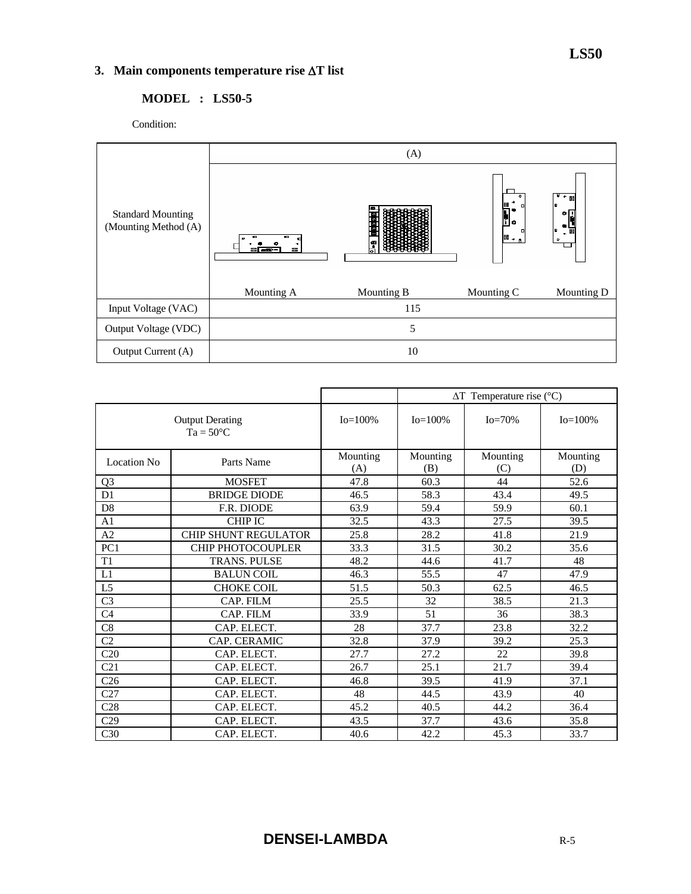# **3. Main components temperature rise** ∆**T list**

# **MODEL : LS50-5**

Condition:



|                                              |                             |                 | $\Delta T$ Temperature rise (°C) |                 |                 |  |  |
|----------------------------------------------|-----------------------------|-----------------|----------------------------------|-----------------|-----------------|--|--|
| <b>Output Derating</b><br>$Ta = 50^{\circ}C$ |                             | $Io = 100\%$    | $Io = 100\%$                     | $Io = 70%$      | $Io = 100\%$    |  |  |
| <b>Location No</b>                           | Parts Name                  | Mounting<br>(A) | Mounting<br>(B)                  | Mounting<br>(C) | Mounting<br>(D) |  |  |
| Q <sub>3</sub>                               | <b>MOSFET</b>               | 47.8            | 60.3                             | 44              | 52.6            |  |  |
| D <sub>1</sub>                               | <b>BRIDGE DIODE</b>         | 46.5            | 58.3                             | 43.4            | 49.5            |  |  |
| D <sub>8</sub>                               | F.R. DIODE                  | 63.9            | 59.4                             | 59.9            | 60.1            |  |  |
| A <sub>1</sub>                               | <b>CHIP IC</b>              | 32.5            | 43.3                             | 27.5            | 39.5            |  |  |
| A2                                           | <b>CHIP SHUNT REGULATOR</b> | 25.8            | 28.2                             | 41.8            | 21.9            |  |  |
| PC1                                          | <b>CHIP PHOTOCOUPLER</b>    | 33.3            | 31.5                             | 30.2            | 35.6            |  |  |
| T1                                           | <b>TRANS. PULSE</b>         | 48.2            | 44.6                             | 41.7            | 48              |  |  |
| L1                                           | <b>BALUN COIL</b>           | 46.3            | 55.5                             | 47              | 47.9            |  |  |
| L <sub>5</sub>                               | <b>CHOKE COIL</b>           | 51.5            | 50.3                             | 62.5            | 46.5            |  |  |
| C <sub>3</sub>                               | CAP. FILM                   | 25.5            | 32                               | 38.5            | 21.3            |  |  |
| C <sub>4</sub>                               | CAP. FILM                   | 33.9            | 51                               | 36              | 38.3            |  |  |
| C8                                           | CAP. ELECT.                 | 28              | 37.7                             | 23.8            | 32.2            |  |  |
| C <sub>2</sub>                               | CAP. CERAMIC                | 32.8            | 37.9                             | 39.2            | 25.3            |  |  |
| C20                                          | CAP. ELECT.                 | 27.7            | 27.2                             | 22              | 39.8            |  |  |
| C21                                          | CAP. ELECT.                 | 26.7            | 25.1                             | 21.7            | 39.4            |  |  |
| C <sub>26</sub>                              | CAP. ELECT.                 | 46.8            | 39.5                             | 41.9            | 37.1            |  |  |
| C27                                          | CAP. ELECT.                 | 48              | 44.5                             | 43.9            | 40              |  |  |
| C28                                          | CAP. ELECT.                 | 45.2            | 40.5                             | 44.2            | 36.4            |  |  |
| C29                                          | CAP. ELECT.                 | 43.5            | 37.7                             | 43.6            | 35.8            |  |  |
| C <sub>30</sub>                              | CAP. ELECT.                 | 40.6            | 42.2                             | 45.3            | 33.7            |  |  |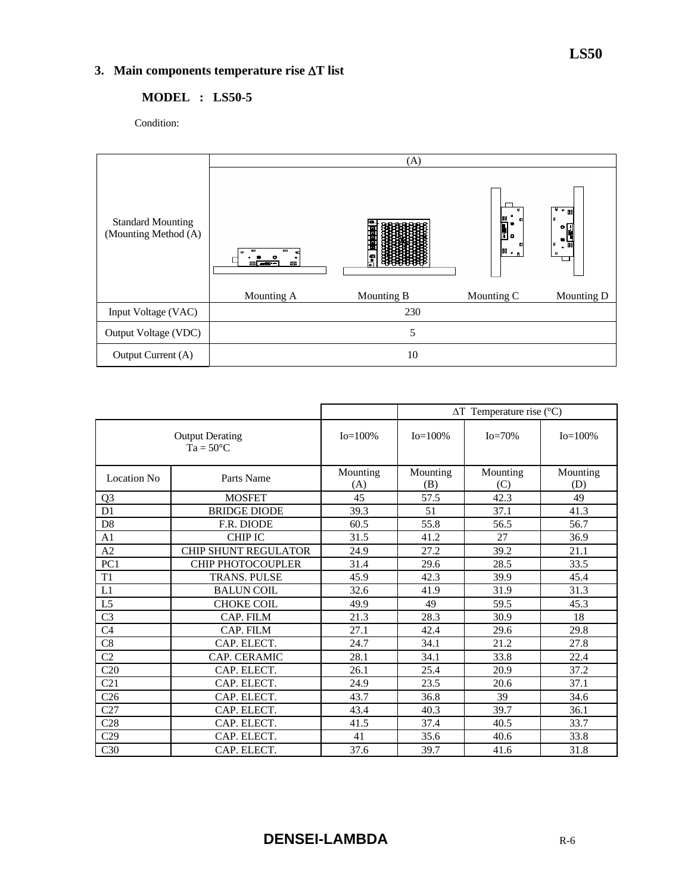# **3. Main components temperature rise** ∆**T list**

## **MODEL : LS50-5**

Condition:



|                    |                                              | $\Delta T$ Temperature rise (°C) |                 |                 |                 |  |
|--------------------|----------------------------------------------|----------------------------------|-----------------|-----------------|-----------------|--|
|                    | <b>Output Derating</b><br>$Ta = 50^{\circ}C$ | $Io = 100\%$                     | $Io = 100\%$    | $Io=70%$        | $Io = 100\%$    |  |
| <b>Location No</b> | Parts Name                                   | Mounting<br>(A)                  | Mounting<br>(B) | Mounting<br>(C) | Mounting<br>(D) |  |
| Q <sub>3</sub>     | <b>MOSFET</b>                                | 45                               | 57.5            | 42.3            | 49              |  |
| D <sub>1</sub>     | <b>BRIDGE DIODE</b>                          | 39.3                             | 51              | 37.1            | 41.3            |  |
| D <sub>8</sub>     | F.R. DIODE                                   | 60.5                             | 55.8            | 56.5            | 56.7            |  |
| A <sub>1</sub>     | <b>CHIP IC</b>                               | 31.5                             | 41.2            | 27              | 36.9            |  |
| A2                 | <b>CHIP SHUNT REGULATOR</b>                  | 24.9                             | 27.2            | 39.2            | 21.1            |  |
| PC <sub>1</sub>    | <b>CHIP PHOTOCOUPLER</b>                     | 31.4                             | 29.6            | 28.5            | 33.5            |  |
| T <sub>1</sub>     | <b>TRANS. PULSE</b>                          | 45.9                             | 42.3            | 39.9            | 45.4            |  |
| L1                 | <b>BALUN COIL</b>                            | 32.6                             | 41.9            | 31.9            | 31.3            |  |
| L <sub>5</sub>     | <b>CHOKE COIL</b>                            | 49.9                             | 49              | 59.5            | 45.3            |  |
| C <sub>3</sub>     | CAP. FILM                                    | 21.3                             | 28.3            | 30.9            | 18              |  |
| C <sub>4</sub>     | CAP. FILM                                    | 27.1                             | 42.4            | 29.6            | 29.8            |  |
| C8                 | CAP. ELECT.                                  | 24.7                             | 34.1            | 21.2            | 27.8            |  |
| C <sub>2</sub>     | CAP. CERAMIC                                 | 28.1                             | 34.1            | 33.8            | 22.4            |  |
| C20                | CAP. ELECT.                                  | 26.1                             | 25.4            | 20.9            | 37.2            |  |
| C <sub>21</sub>    | CAP. ELECT.                                  | 24.9                             | 23.5            | 20.6            | 37.1            |  |
| C <sub>26</sub>    | CAP. ELECT.                                  | 43.7                             | 36.8            | 39              | 34.6            |  |
| C27                | CAP. ELECT.                                  | 43.4                             | 40.3            | 39.7            | 36.1            |  |
| C28                | CAP. ELECT.                                  | 41.5                             | 37.4            | 40.5            | 33.7            |  |
| C29                | CAP. ELECT.                                  | 41                               | 35.6            | 40.6            | 33.8            |  |
| C30                | CAP. ELECT.                                  | 37.6                             | 39.7            | 41.6            | 31.8            |  |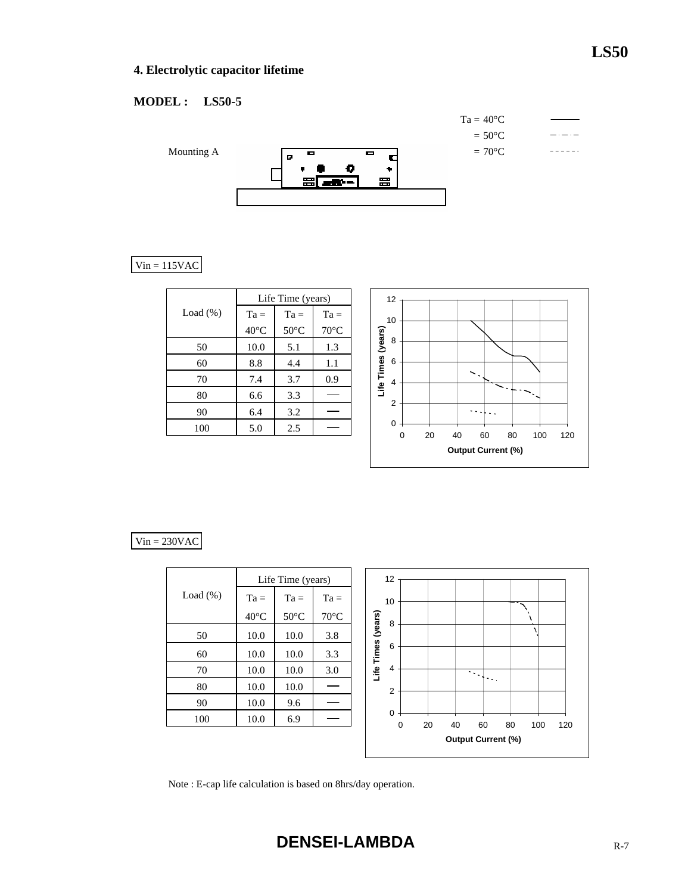# **LS50**

# **4. Electrolytic capacitor lifetime**

# **MODEL : LS50-5**



# $Vin = 115VAC$

|             | Life Time (years) |                |                |  |  |  |
|-------------|-------------------|----------------|----------------|--|--|--|
| Load $(\%)$ | $Ta =$            | $Ta =$         | $Ta =$         |  |  |  |
|             | $40^{\circ}$ C    | $50^{\circ}$ C | $70^{\circ}$ C |  |  |  |
| 50          | 10.0              | 5.1            | 1.3            |  |  |  |
| 60          | 8.8               | 4.4            | 1.1            |  |  |  |
| 70          | 7.4               | 3.7            | 0.9            |  |  |  |
| 80          | 6.6               | 3.3            |                |  |  |  |
| 90          | 6.4               | 3.2            |                |  |  |  |
| 100         | 5.0               | 2.5            |                |  |  |  |



### $Vin = 230VAC$

|             |                | Life Time (years) |                | 12                 |                            |    |    |                           |    |     |     |
|-------------|----------------|-------------------|----------------|--------------------|----------------------------|----|----|---------------------------|----|-----|-----|
| Load $(\%)$ | $Ta =$         | $Ta =$            | $Ta =$         | 10                 |                            |    |    |                           |    |     |     |
|             | $40^{\circ}$ C | $50^{\circ}$ C    | $70^{\circ}$ C |                    | 8                          |    |    |                           |    |     |     |
| 50          | 10.0           | 10.0              | 3.8            | Life Times (years) |                            |    |    |                           |    |     |     |
| 60          | 10.0           | 10.0              | 3.3            |                    | 6                          |    |    |                           |    |     |     |
| 70          | 10.0           | 10.0              | 3.0            |                    | 4                          |    |    | $\sim$ 1                  |    |     |     |
| 80          | 10.0           | 10.0              |                |                    | $\overline{2}$             |    |    | $\sim 10$                 |    |     |     |
| 90          | 10.0           | 9.6               |                |                    |                            |    |    |                           |    |     |     |
| 100         | 10.0           | 6.9               |                |                    | $\mathbf 0$<br>$\mathbf 0$ | 20 | 40 | 60                        | 80 | 100 | 120 |
|             |                |                   |                |                    |                            |    |    | <b>Output Current (%)</b> |    |     |     |

Note : E-cap life calculation is based on 8hrs/day operation.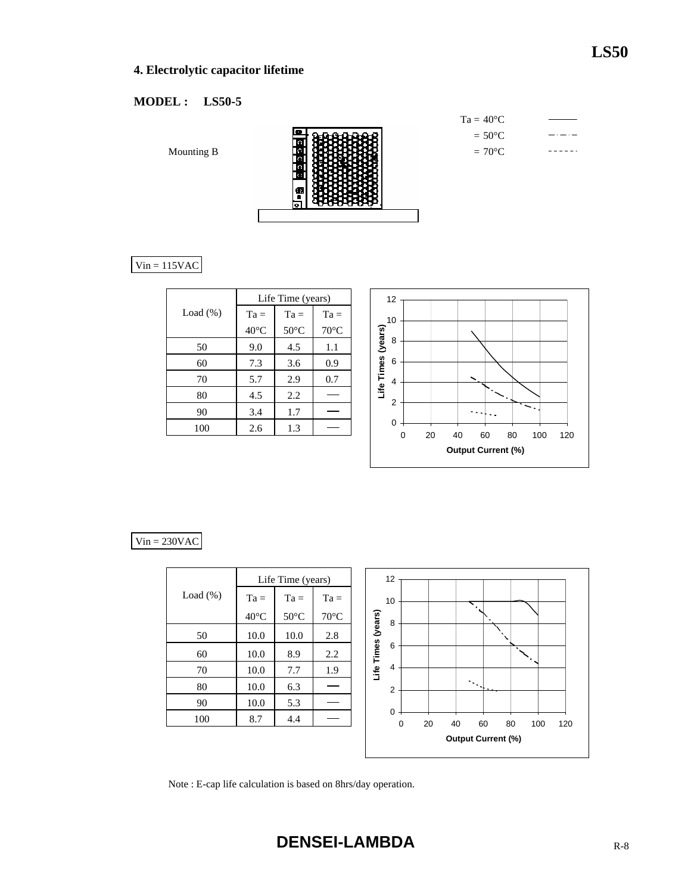# **4. Electrolytic capacitor lifetime**

# **MODEL : LS50-5**

Mounting B

Ţ

 $Vin = 115VAC$ 

|             | Life Time (years) |                |                |  |  |  |
|-------------|-------------------|----------------|----------------|--|--|--|
| Load $(\%)$ | $Ta =$            | $Ta =$         | $Ta =$         |  |  |  |
|             | $40^{\circ}$ C    | $50^{\circ}$ C | $70^{\circ}$ C |  |  |  |
| 50          | 9.0               | 4.5            | 1.1            |  |  |  |
| 60          | 7.3               | 3.6            | 0.9            |  |  |  |
| 70          | 5.7               | 2.9            | 0.7            |  |  |  |
| 80          | 4.5               | 2.2            |                |  |  |  |
| 90          | 3.4               | 1.7            |                |  |  |  |
| 100         | 2.6               | 1.3            |                |  |  |  |



# $Vin = 230VAC$

|             |                | Life Time (years) |                | 12                                                               |
|-------------|----------------|-------------------|----------------|------------------------------------------------------------------|
| Load $(\%)$ | $Ta =$         | $Ta =$            | $Ta =$         | 10<br>╲                                                          |
|             | $40^{\circ}$ C | $50^{\circ}$ C    | $70^{\circ}$ C | $\mathbf{x}$<br>8                                                |
| 50          | 10.0           | 10.0              | 2.8            | Life Times (years)                                               |
| 60          | 10.0           | 8.9               | 2.2            | 6<br>٠                                                           |
| 70          | 10.0           | 7.7               | 1.9            | $\overline{4}$                                                   |
| 80          | 10.0           | 6.3               |                | $\mathcal{O}(\mathcal{E})$<br>$\overline{2}$                     |
| 90          | 10.0           | 5.3               |                |                                                                  |
| 100         | 8.7            | 4.4               |                | $\mathbf 0$<br>$\mathbf 0$<br>120<br>20<br>80<br>40<br>60<br>100 |
|             |                |                   |                | <b>Output Current (%)</b>                                        |

Note : E-cap life calculation is based on 8hrs/day operation.

**DENSEI-LAMBDA** R-8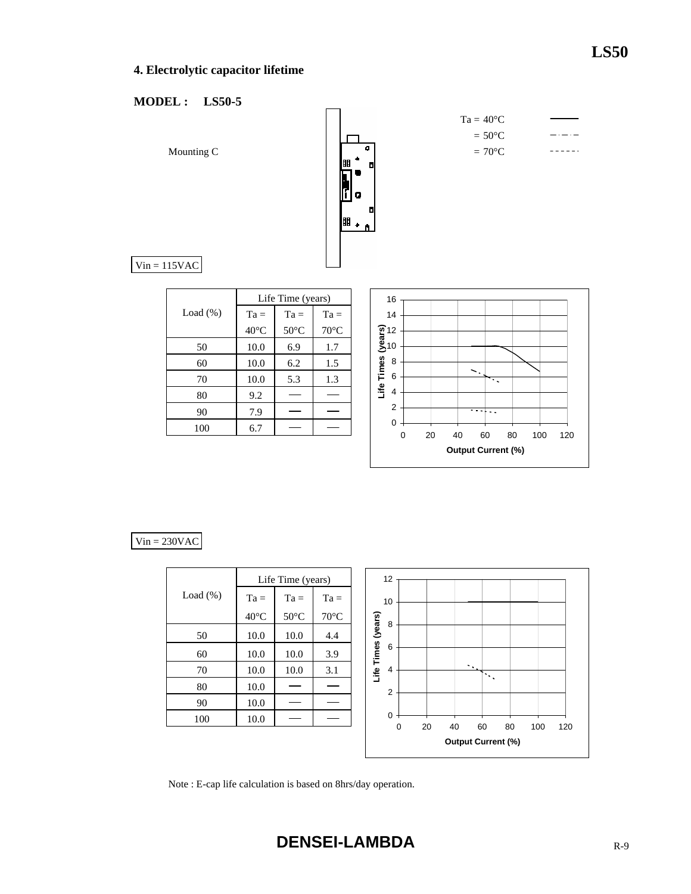# **4. Electrolytic capacitor lifetime**

## **MODEL : LS50-5**



### $Vin = 230VAC$

|             |                | Life Time (years) |                |                    | 12             |    |                                 |                                                  |    |     |     |
|-------------|----------------|-------------------|----------------|--------------------|----------------|----|---------------------------------|--------------------------------------------------|----|-----|-----|
| Load $(\%)$ | $Ta =$         | $Ta =$            | $Ta =$         |                    | 10             |    |                                 |                                                  |    |     |     |
|             | $40^{\circ}$ C | $50^{\circ}$ C    | $70^{\circ}$ C |                    | 8              |    |                                 |                                                  |    |     |     |
| 50          | 10.0           | 10.0              | 4.4            | Life Times (years) |                |    |                                 |                                                  |    |     |     |
| 60          | 10.0           | 10.0              | 3.9            |                    | 6              |    |                                 |                                                  |    |     |     |
| 70          | 10.0           | 10.0              | 3.1            |                    | 4              |    | ÷.,                             | $\mathbb{C}[\mathbf{v}_{\mathbf{u},\mathbf{u}}]$ |    |     |     |
| 80          | 10.0           |                   |                |                    | $\overline{2}$ |    |                                 |                                                  |    |     |     |
| 90          | 10.0           |                   |                |                    |                |    |                                 |                                                  |    |     |     |
| 100         | 10.0           |                   |                |                    | $\mathbf 0$    |    |                                 |                                                  |    |     |     |
|             |                |                   |                |                    | 0              | 20 | 40<br><b>Output Current (%)</b> | 60                                               | 80 | 100 | 120 |

Note : E-cap life calculation is based on 8hrs/day operation.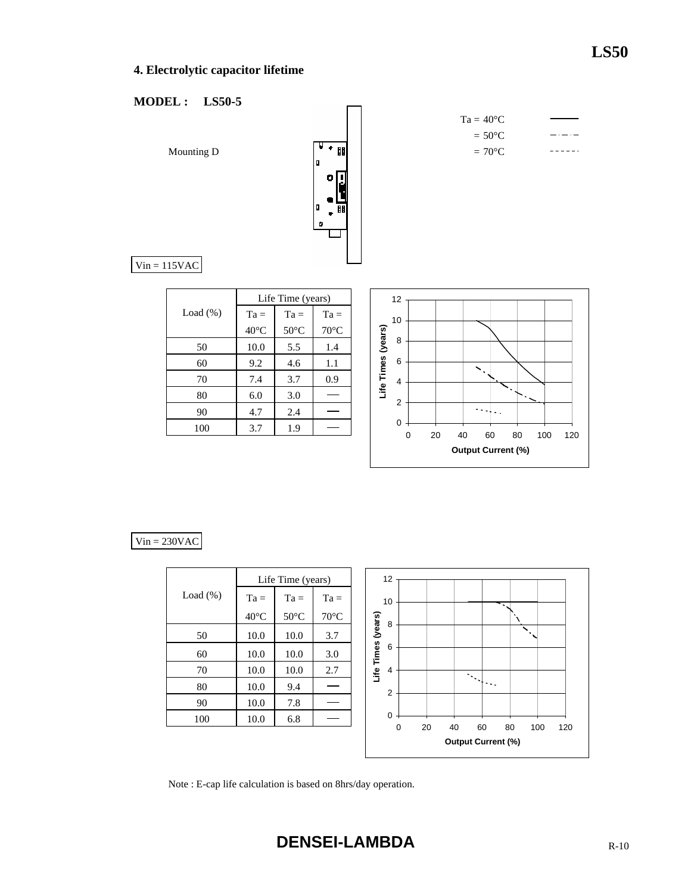# **4. Electrolytic capacitor lifetime**

## **MODEL : LS50-5**



 $Ta = 40^{\circ}C$  $= 50^{\circ}C$  $\begin{array}{cccccccccc} \bot & \bot & \bot & \bot & \bot & \bot \end{array}$ 

 $Vin = 115VAC$ 

|             | Life Time (years) |                |                |  |  |  |  |  |  |  |  |
|-------------|-------------------|----------------|----------------|--|--|--|--|--|--|--|--|
| Load $(\%)$ | $Ta =$            | $Ta =$         | $Ta =$         |  |  |  |  |  |  |  |  |
|             | $40^{\circ}$ C    | $50^{\circ}$ C | $70^{\circ}$ C |  |  |  |  |  |  |  |  |
| 50          | 10.0              | 5.5            | 1.4            |  |  |  |  |  |  |  |  |
| 60          | 9.2               | 4.6            | 1.1            |  |  |  |  |  |  |  |  |
| 70          | 7.4               | 3.7            | 0.9            |  |  |  |  |  |  |  |  |
| 80          | 6.0               | 3.0            |                |  |  |  |  |  |  |  |  |
| 90          | 4.7               | 2.4            |                |  |  |  |  |  |  |  |  |
| 100         | 3.7               | 1.9            |                |  |  |  |  |  |  |  |  |



## $Vin = 230VAC$

|             |                | Life Time (years) |                | 12                 |   |
|-------------|----------------|-------------------|----------------|--------------------|---|
| Load $(\%)$ | $Ta =$         | $Ta =$            | $Ta =$         | 10                 |   |
|             | $40^{\circ}$ C | $50^{\circ}$ C    | $70^{\circ}$ C |                    | 8 |
| 50          | 10.0           | 10.0              | 3.7            | Life Times (years) |   |
| 60          | 10.0           | 10.0              | 3.0            |                    | 6 |
| 70          | 10.0           | 10.0              | 2.7            |                    | 4 |
| 80          | 10.0           | 9.4               |                |                    | 2 |
| 90          | 10.0           | 7.8               |                |                    |   |
| 100         | 10.0           | 6.8               |                |                    | 0 |
|             |                |                   |                |                    |   |



Note : E-cap life calculation is based on 8hrs/day operation.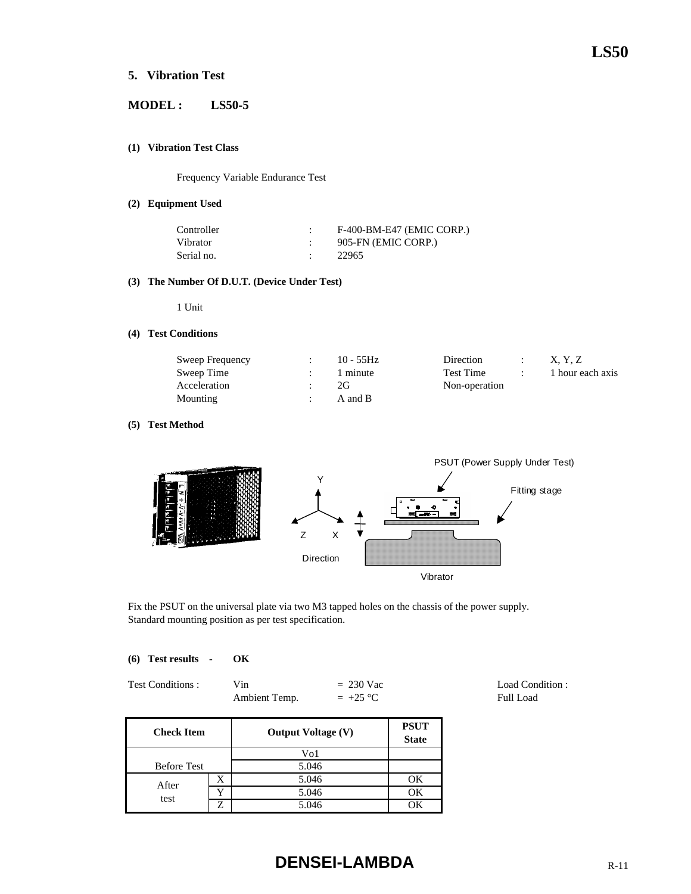## **5. Vibration Test**

## **MODEL : LS50-5**

#### **(1) Vibration Test Class**

Frequency Variable Endurance Test

#### **(2) Equipment Used**

| Controller | F-400-BM-E47 (EMIC CORP.) |
|------------|---------------------------|
| Vibrator   | 905-FN (EMIC CORP.)       |
| Serial no. | 22965                     |

#### **(3) The Number Of D.U.T. (Device Under Test)**

1 Unit

#### **(4) Test Conditions**

| Sweep Frequency | $10 - 55$ Hz | Direction     | X. Y. Z          |
|-----------------|--------------|---------------|------------------|
| Sweep Time      | 1 minute     | Test Time     | 1 hour each axis |
| Acceleration    | 2G           | Non-operation |                  |
| Mounting        | A and B      |               |                  |

#### **(5) Test Method**



Fix the PSUT on the universal plate via two M3 tapped holes on the chassis of the power supply. Standard mounting position as per test specification.

#### **(6) Test results - OK**

| Test Conditions : | Vin           | $= 230$ Vac |
|-------------------|---------------|-------------|
|                   | Ambient Temp. | $= +25$ °C  |

**PSUT State** Before Test X 1 5.046 1 OK Y OK test 5.046 Z 5.046 OK **Check Item** Vo1 5.046 **Output Voltage (V)** After

# **DENSEI-LAMBDA** R-11

Load Condition : Full Load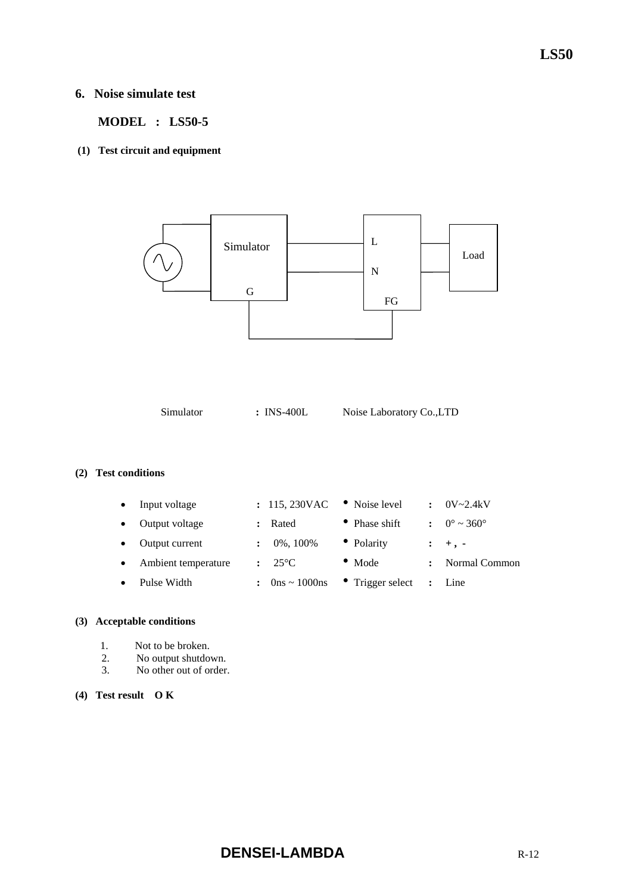## **6. Noise simulate test**

 **MODEL : LS50-5** 

**(1) Test circuit and equipment** 



Simulator **:** INS-400L Noise Laboratory Co.,LTD

## **(2) Test conditions**

| Input voltage       | : 115,230VAC                        | • Noise level            | $\cdot$ | $0V - 2.4kV$                 |
|---------------------|-------------------------------------|--------------------------|---------|------------------------------|
| Output voltage      | Rated                               | • Phase shift            |         | $0^{\circ} \sim 360^{\circ}$ |
| Output current      | 0%, 100%                            | • Polarity               |         | $: +$ , -                    |
| Ambient temperature | $\div$ 25 °C                        | $\bullet$ Mode           |         | Normal Common                |
| Pulse Width         | : $0 \text{ns} \sim 1000 \text{ns}$ | $\bullet$ Trigger select |         | : Line                       |
|                     |                                     |                          |         |                              |

## **(3) Acceptable conditions**

- 1. Not to be broken.
- 2. No output shutdown.
- 3. No other out of order.

## **(4) Test result O K**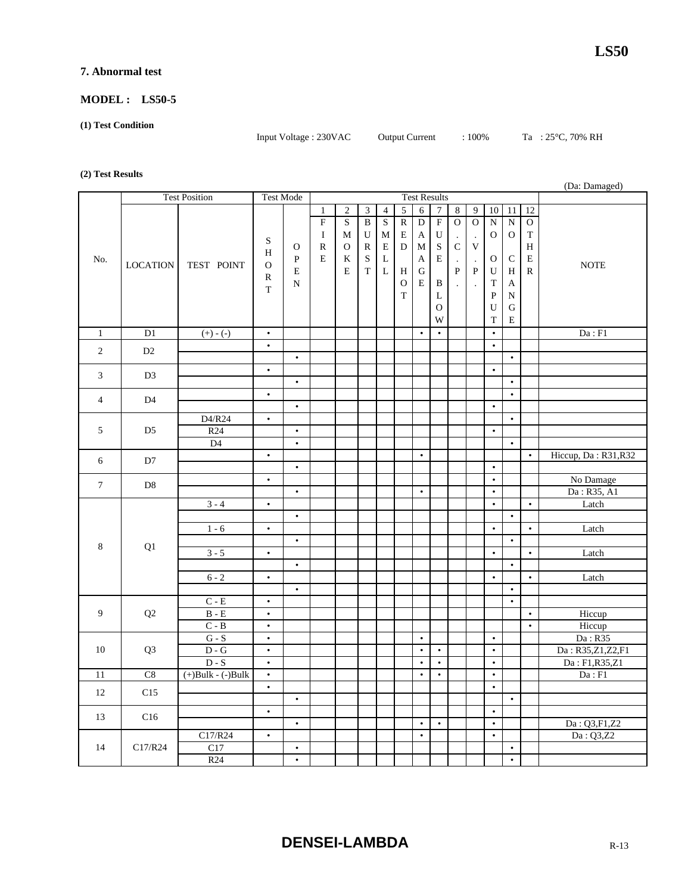#### **7. Abnormal test**

#### **MODEL : LS50-5**

#### **(1) Test Condition**

Input Voltage : 230VAC Output Current : 100% Ta : 25°C, 70% RH

#### **(2) Test Results**

|                  |                 |                         |                        |             |                     |                         |                         |                |                |                        |                        |                      |                      |                        |                |                | (Da: Damaged)                     |
|------------------|-----------------|-------------------------|------------------------|-------------|---------------------|-------------------------|-------------------------|----------------|----------------|------------------------|------------------------|----------------------|----------------------|------------------------|----------------|----------------|-----------------------------------|
|                  |                 | <b>Test Position</b>    | <b>Test Mode</b>       |             | <b>Test Results</b> |                         |                         |                |                |                        |                        |                      |                      |                        |                |                |                                   |
|                  |                 |                         |                        |             | $\mathbf{1}$        | $\overline{2}$          | $\mathfrak{Z}$          | $\overline{4}$ | $\overline{5}$ | 6                      | $\boldsymbol{7}$       | $\sqrt{8}$           | 9                    | 10                     | 11             | 12             |                                   |
|                  |                 |                         |                        |             | $\overline{F}$      | $\overline{\mathbf{S}}$ | $\overline{\mathbf{B}}$ | $\mathbf S$    | $\overline{R}$ | $\overline{D}$         | $\overline{F}$         | $\overline{O}$       | $\overline{0}$       | $\overline{N}$         | $\overline{N}$ | $\overline{O}$ |                                   |
|                  |                 |                         | ${\bf S}$              |             | $\bf{I}$            | M                       | U                       | М              | E              | A                      | U                      | $\cdot$              | $\cdot$              | $\mathbf{O}$           | $\mathbf{O}$   | $\mathbf T$    |                                   |
|                  |                 |                         | H                      | $\mathbf O$ | ${\mathbb R}$       | $\mathbf O$             | ${\mathbb R}$           | E              | D              | $\mathbf M$            | $\mathbf S$            | $\mathbf C$          | $\mathbf V$          |                        |                | $\, {\rm H}$   |                                   |
| No.              | <b>LOCATION</b> | TEST POINT              | $\mathbf{O}$           | ${\bf P}$   | E                   | K                       | $\mathbf S$             | L              |                | A                      | E                      | $\cdot$              | $\ddot{\phantom{a}}$ | $\mathbf{O}$           | $\mathsf C$    | E              | <b>NOTE</b>                       |
|                  |                 |                         | $\mathbb{R}$           | E           |                     | E                       | $\mathbf T$             | $\mathbf L$    | H              | ${\bf G}$              |                        | ${\bf P}$            | $\, {\bf P}$         | U                      | $\, {\rm H}$   | ${\bf R}$      |                                   |
|                  |                 |                         | $\mathbf T$            | ${\bf N}$   |                     |                         |                         |                | $\mathbf{O}$   | E                      | B                      | $\ddot{\phantom{a}}$ |                      | $\mathbf T$            | A              |                |                                   |
|                  |                 |                         |                        |             |                     |                         |                         |                | $\mathbf T$    |                        | L                      |                      |                      | ${\bf P}$              | ${\bf N}$      |                |                                   |
|                  |                 |                         |                        |             |                     |                         |                         |                |                |                        | $\mathbf O$            |                      |                      | U                      | ${\bf G}$      |                |                                   |
|                  |                 |                         |                        |             |                     |                         |                         |                |                |                        | W                      |                      |                      | $\mathbf T$            | $\mathbf E$    |                |                                   |
| $\mathbf{1}$     | D1              | $(+) - (-)$             | $\bullet$              |             |                     |                         |                         |                |                | $\bullet$              | $\bullet$              |                      |                      | $\bullet$              |                |                | Da : F1                           |
| 2                | D2              |                         | $\bullet$              | $\bullet$   |                     |                         |                         |                |                |                        |                        |                      |                      | $\bullet$              | $\bullet$      |                |                                   |
|                  |                 |                         | $\bullet$              |             |                     |                         |                         |                |                |                        |                        |                      |                      | $\bullet$              |                |                |                                   |
| 3                | D <sub>3</sub>  |                         |                        | $\bullet$   |                     |                         |                         |                |                |                        |                        |                      |                      |                        | $\bullet$      |                |                                   |
|                  |                 |                         | $\bullet$              |             |                     |                         |                         |                |                |                        |                        |                      |                      |                        | $\bullet$      |                |                                   |
| $\overline{4}$   | D4              |                         |                        | $\bullet$   |                     |                         |                         |                |                |                        |                        |                      |                      | $\bullet$              |                |                |                                   |
|                  |                 | D4/R24                  | $\bullet$              |             |                     |                         |                         |                |                |                        |                        |                      |                      |                        | $\bullet$      |                |                                   |
| 5                | D <sub>5</sub>  | R <sub>24</sub>         |                        | $\bullet$   |                     |                         |                         |                |                |                        |                        |                      |                      | $\bullet$              |                |                |                                   |
|                  |                 | D4                      |                        | $\bullet$   |                     |                         |                         |                |                |                        |                        |                      |                      |                        | $\bullet$      |                |                                   |
| 6                | D7              |                         | $\bullet$              |             |                     |                         |                         |                |                | $\bullet$              |                        |                      |                      |                        |                | $\bullet$      | Hiccup, Da: R31, R32              |
|                  |                 |                         |                        | $\bullet$   |                     |                         |                         |                |                |                        |                        |                      |                      | $\bullet$              |                |                |                                   |
| $\boldsymbol{7}$ | D <sub>8</sub>  |                         | $\bullet$              |             |                     |                         |                         |                |                |                        |                        |                      |                      | $\bullet$              |                |                | No Damage                         |
|                  |                 |                         |                        | $\bullet$   |                     |                         |                         |                |                | $\bullet$              |                        |                      |                      | $\bullet$              |                |                | Da: R35, A1                       |
|                  |                 | $3 - 4$                 | $\bullet$              | $\bullet$   |                     |                         |                         |                |                |                        |                        |                      |                      | $\bullet$              | $\bullet$      | $\bullet$      | Latch                             |
|                  |                 | $1 - 6$                 | $\bullet$              |             |                     |                         |                         |                |                |                        |                        |                      |                      | $\bullet$              |                | $\bullet$      | Latch                             |
|                  |                 |                         |                        | $\bullet$   |                     |                         |                         |                |                |                        |                        |                      |                      |                        | $\bullet$      |                |                                   |
| 8                | Q1              | $3 - 5$                 | $\bullet$              |             |                     |                         |                         |                |                |                        |                        |                      |                      | $\bullet$              |                | $\bullet$      | Latch                             |
|                  |                 |                         |                        | $\bullet$   |                     |                         |                         |                |                |                        |                        |                      |                      |                        | $\bullet$      |                |                                   |
|                  |                 | $6 - 2$                 | $\bullet$              |             |                     |                         |                         |                |                |                        |                        |                      |                      | $\bullet$              |                | $\bullet$      | Latch                             |
|                  |                 |                         |                        | $\bullet$   |                     |                         |                         |                |                |                        |                        |                      |                      |                        | $\bullet$      |                |                                   |
|                  |                 | $C - E$                 | $\bullet$              |             |                     |                         |                         |                |                |                        |                        |                      |                      |                        | $\bullet$      |                |                                   |
| 9                | Q2              | $B - E$                 | $\bullet$              |             |                     |                         |                         |                |                |                        |                        |                      |                      |                        |                | $\bullet$      | Hiccup                            |
|                  |                 | $C - B$                 | $\bullet$              |             |                     |                         |                         |                |                |                        |                        |                      |                      |                        |                | $\bullet$      | Hiccup                            |
|                  |                 | ${\bf G}$ - ${\bf S}$   | $\bullet$              |             |                     |                         |                         |                |                | $\bullet$              |                        |                      |                      | $\bullet$              |                |                | Da: R35                           |
| 10               | Q <sub>3</sub>  | $D - G$<br>$D-S$        | $\bullet$<br>$\bullet$ |             |                     |                         |                         |                |                | $\bullet$<br>$\bullet$ | $\bullet$<br>$\bullet$ |                      |                      | $\bullet$<br>$\bullet$ |                |                | Da: R35,Z1,Z2,F1<br>Da: F1,R35,Z1 |
| 11               | C8              | $(+)$ Bulk - $(-)$ Bulk | $\bullet$              |             |                     |                         |                         |                |                | $\bullet$              | $\bullet$              |                      |                      | $\bullet$              |                |                | Da:F1                             |
|                  |                 |                         | $\bullet$              |             |                     |                         |                         |                |                |                        |                        |                      |                      | $\bullet$              |                |                |                                   |
| 12               | C15             |                         |                        | $\bullet$   |                     |                         |                         |                |                |                        |                        |                      |                      |                        | $\bullet$      |                |                                   |
|                  |                 |                         | $\bullet$              |             |                     |                         |                         |                |                |                        |                        |                      |                      | $\bullet$              |                |                |                                   |
| 13               | C16             |                         |                        | $\bullet$   |                     |                         |                         |                |                | $\bullet$              | $\bullet$              |                      |                      | $\bullet$              |                |                | Da: Q3,F1,Z2                      |
|                  |                 | C17/R24                 | $\bullet$              |             |                     |                         |                         |                |                | $\bullet$              |                        |                      |                      | $\bullet$              |                |                | Da: Q3,Z2                         |
| 14               | C17/R24         | C17                     |                        | $\bullet$   |                     |                         |                         |                |                |                        |                        |                      |                      |                        | $\bullet$      |                |                                   |
|                  |                 | R24                     |                        | $\bullet$   |                     |                         |                         |                |                |                        |                        |                      |                      |                        | $\bullet$      |                |                                   |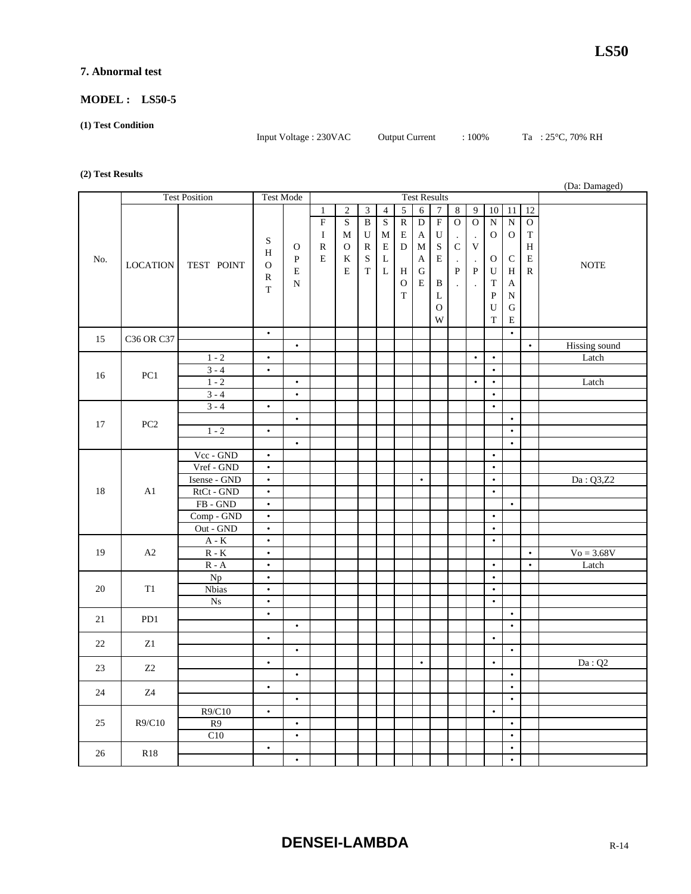#### **7. Abnormal test**

#### **MODEL : LS50-5**

#### **(1) Test Condition**

Input Voltage : 230VAC Output Current : 100% Ta : 25°C, 70% RH

#### **(2) Test Results**

|     |                 |                             |              |              |                     |              |                         |                         |                |                |                  |                |                |                |                |                | (Da: Damaged)        |
|-----|-----------------|-----------------------------|--------------|--------------|---------------------|--------------|-------------------------|-------------------------|----------------|----------------|------------------|----------------|----------------|----------------|----------------|----------------|----------------------|
|     |                 | <b>Test Position</b>        | Test Mode    |              | <b>Test Results</b> |              |                         |                         |                |                |                  |                |                |                |                |                |                      |
|     |                 |                             |              |              | $\mathbf{1}$        | $\sqrt{2}$   | $\overline{3}$          | $\overline{4}$          | $\overline{5}$ | $\overline{6}$ | $\boldsymbol{7}$ | $\sqrt{8}$     | 9              | $10\,$         | 11             | 12             |                      |
|     |                 |                             |              |              | $\overline{F}$      | $\mathbf S$  | $\overline{\mathbf{B}}$ | $\overline{\mathbf{S}}$ | $\overline{R}$ | $\overline{D}$ | $\overline{F}$   | $\overline{O}$ | $\overline{0}$ | $\overline{N}$ | $\overline{N}$ | $\overline{O}$ |                      |
|     |                 |                             |              |              | $\bf{I}$            | M            | U                       | M                       | $\mathbf E$    | A              | U                | $\cdot$        | $\cdot$        | 0              | $\mathbf{O}$   | $\mathbf T$    |                      |
|     |                 |                             | ${\bf S}$    | $\mathbf{O}$ | $\mathbb R$         | $\mathcal O$ | $\mathbb{R}$            | E                       | ${\bf D}$      | $\mathbf M$    | ${\bf S}$        | ${\bf C}$      | $\mathbf V$    |                |                | $\, {\rm H}$   |                      |
| No. |                 |                             | H            | ${\bf P}$    | E                   | K            | ${\bf S}$               | L                       |                | A              | E                | $\cdot$        | $\cdot$        | $\mathbf{O}$   | $\mathsf{C}$   | ${\bf E}$      |                      |
|     | <b>LOCATION</b> | TEST POINT                  | $\mathbf{O}$ | E            |                     | E            | $\mathbf T$             | $\mathbf L$             | H              | ${\bf G}$      |                  | ${\bf P}$      | $\, {\bf P}$   | U              | H              | ${\bf R}$      | <b>NOTE</b>          |
|     |                 |                             | $\mathbb{R}$ | $\mathbf N$  |                     |              |                         |                         | $\mathbf{O}$   | E              | B                | $\cdot$        |                | T              | A              |                |                      |
|     |                 |                             | T            |              |                     |              |                         |                         | T              |                | L                |                |                | $\mathbf{P}$   | $\mathbf N$    |                |                      |
|     |                 |                             |              |              |                     |              |                         |                         |                |                | $\mathbf O$      |                |                | U              | G              |                |                      |
|     |                 |                             |              |              |                     |              |                         |                         |                |                | W                |                |                | $\mathbf T$    | $\mathbf E$    |                |                      |
|     |                 |                             | $\bullet$    |              |                     |              |                         |                         |                |                |                  |                |                |                | $\bullet$      |                |                      |
| 15  | C36 OR C37      |                             |              | $\bullet$    |                     |              |                         |                         |                |                |                  |                |                |                |                | $\bullet$      | <b>Hissing</b> sound |
|     |                 | $1 - 2$                     | $\bullet$    |              |                     |              |                         |                         |                |                |                  |                | $\bullet$      | $\bullet$      |                |                | Latch                |
|     |                 | $3 - 4$                     | $\bullet$    |              |                     |              |                         |                         |                |                |                  |                |                | $\bullet$      |                |                |                      |
| 16  | PC <sub>1</sub> | $1 - 2$                     |              | $\bullet$    |                     |              |                         |                         |                |                |                  |                | $\bullet$      | $\bullet$      |                |                | Latch                |
|     |                 | $3 - 4$                     |              | $\bullet$    |                     |              |                         |                         |                |                |                  |                |                | $\bullet$      |                |                |                      |
|     |                 | $3 - 4$                     | $\bullet$    |              |                     |              |                         |                         |                |                |                  |                |                | $\bullet$      |                |                |                      |
| 17  | PC <sub>2</sub> |                             |              | $\bullet$    |                     |              |                         |                         |                |                |                  |                |                |                | $\bullet$      |                |                      |
|     |                 | $1 - 2$                     | $\bullet$    |              |                     |              |                         |                         |                |                |                  |                |                |                | $\bullet$      |                |                      |
|     |                 |                             |              | $\bullet$    |                     |              |                         |                         |                |                |                  |                |                |                | $\bullet$      |                |                      |
|     |                 | Vcc - GND                   | $\bullet$    |              |                     |              |                         |                         |                |                |                  |                |                | $\bullet$      |                |                |                      |
|     |                 | Vref - GND                  | $\bullet$    |              |                     |              |                         |                         |                |                |                  |                |                | $\bullet$      |                |                |                      |
|     |                 | Isense - GND                | $\bullet$    |              |                     |              |                         |                         |                | $\bullet$      |                  |                |                | $\bullet$      |                |                | Da: Q3,Z2            |
| 18  | A1              | RtCt - GND                  | $\bullet$    |              |                     |              |                         |                         |                |                |                  |                |                | $\bullet$      |                |                |                      |
|     |                 | $FB - GND$                  | $\bullet$    |              |                     |              |                         |                         |                |                |                  |                |                |                | $\bullet$      |                |                      |
|     |                 | Comp - GND                  | $\bullet$    |              |                     |              |                         |                         |                |                |                  |                |                | $\bullet$      |                |                |                      |
|     |                 | Out - GND                   | $\bullet$    |              |                     |              |                         |                         |                |                |                  |                |                | $\bullet$      |                |                |                      |
|     |                 | $A - K$                     | $\bullet$    |              |                     |              |                         |                         |                |                |                  |                |                | $\bullet$      |                |                |                      |
| 19  | A2              | $R - K$                     | $\bullet$    |              |                     |              |                         |                         |                |                |                  |                |                |                |                | $\bullet$      | $V_0 = 3.68V$        |
|     |                 | $\mathbb{R}$ - $\mathbb{A}$ | $\bullet$    |              |                     |              |                         |                         |                |                |                  |                |                | $\bullet$      |                | $\bullet$      | Latch                |
|     |                 | Np                          | $\bullet$    |              |                     |              |                         |                         |                |                |                  |                |                | $\bullet$      |                |                |                      |
| 20  | T1              | <b>Nbias</b>                | $\bullet$    |              |                     |              |                         |                         |                |                |                  |                |                | $\bullet$      |                |                |                      |
|     |                 | $_{\mathrm{Ns}}$            | $\bullet$    |              |                     |              |                         |                         |                |                |                  |                |                | $\bullet$      |                |                |                      |
| 21  | PD1             |                             | $\bullet$    |              |                     |              |                         |                         |                |                |                  |                |                |                | $\bullet$      |                |                      |
|     |                 |                             |              | $\bullet$    |                     |              |                         |                         |                |                |                  |                |                |                | $\bullet$      |                |                      |
| 22  | Z1              |                             | $\bullet$    |              |                     |              |                         |                         |                |                |                  |                |                | $\bullet$      |                |                |                      |
|     |                 |                             | $\bullet$    | $\bullet$    |                     |              |                         |                         |                | $\bullet$      |                  |                |                | $\bullet$      | $\bullet$      |                |                      |
| 23  | Z2              |                             |              | $\bullet$    |                     |              |                         |                         |                |                |                  |                |                |                | $\bullet$      |                | Da:Q2                |
|     |                 |                             | $\bullet$    |              |                     |              |                         |                         |                |                |                  |                |                |                | $\bullet$      |                |                      |
| 24  | Z4              |                             |              | $\bullet$    |                     |              |                         |                         |                |                |                  |                |                |                | $\bullet$      |                |                      |
|     |                 | R9/C10                      | $\bullet$    |              |                     |              |                         |                         |                |                |                  |                |                | $\bullet$      |                |                |                      |
| 25  | R9/C10          | R9                          |              | $\bullet$    |                     |              |                         |                         |                |                |                  |                |                |                | $\bullet$      |                |                      |
|     |                 | C10                         |              | $\bullet$    |                     |              |                         |                         |                |                |                  |                |                |                | $\bullet$      |                |                      |
|     |                 |                             | $\bullet$    |              |                     |              |                         |                         |                |                |                  |                |                |                | $\bullet$      |                |                      |
| 26  | <b>R18</b>      |                             |              | $\bullet$    |                     |              |                         |                         |                |                |                  |                |                |                | $\bullet$      |                |                      |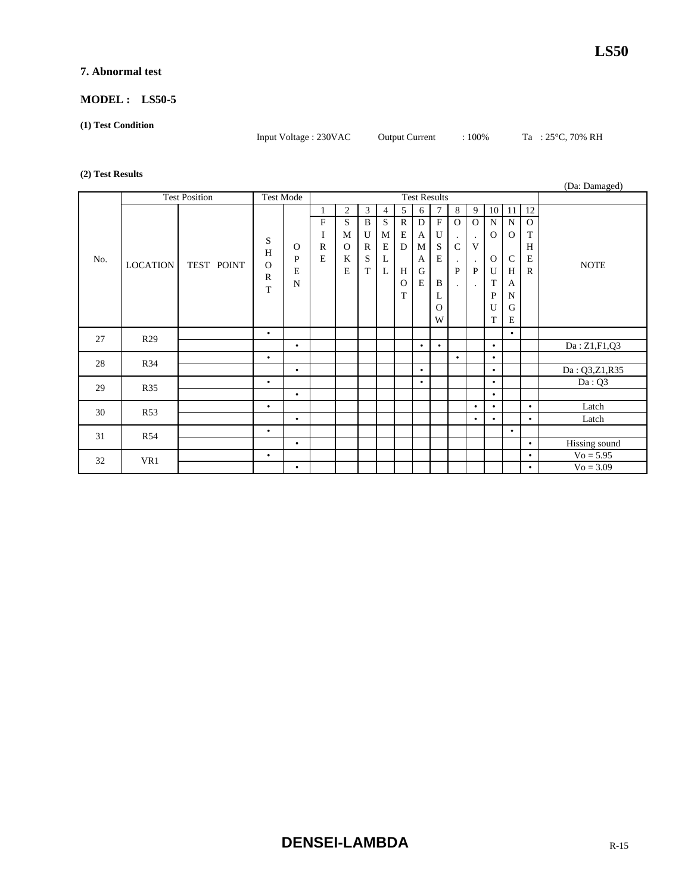#### **7. Abnormal test**

#### **MODEL : LS50-5**

#### **(1) Test Condition**

Input Voltage : 230VAC Output Current : 100% Ta : 25°C, 70% RH

#### **(2) Test Results**

|     |                 |                      |                                         |                                            |                                    |                                                          |                                       |                                      |                                                   |                                                                |                                                                          |                                    |                                                                                                      |                                                                            |                                                                                         |                                              | (Da: Damaged) |
|-----|-----------------|----------------------|-----------------------------------------|--------------------------------------------|------------------------------------|----------------------------------------------------------|---------------------------------------|--------------------------------------|---------------------------------------------------|----------------------------------------------------------------|--------------------------------------------------------------------------|------------------------------------|------------------------------------------------------------------------------------------------------|----------------------------------------------------------------------------|-----------------------------------------------------------------------------------------|----------------------------------------------|---------------|
|     |                 | <b>Test Position</b> | <b>Test Mode</b>                        |                                            |                                    |                                                          |                                       |                                      |                                                   |                                                                | <b>Test Results</b>                                                      |                                    |                                                                                                      |                                                                            |                                                                                         |                                              |               |
| No. | <b>LOCATION</b> | TEST POINT           | S<br>H<br>$\Omega$<br>$\mathbb{R}$<br>T | $\Omega$<br>$\mathbf{P}$<br>E<br>${\bf N}$ | ${\rm F}$<br>I<br>$\mathbf R$<br>E | $\overline{2}$<br>S<br>M<br>$\Omega$<br>K<br>$\mathbf E$ | 3<br>B<br>U<br>$\mathbb{R}$<br>S<br>T | 4<br>S<br>M<br>$\mathbf E$<br>L<br>L | 5<br>$\mathbb{R}$<br>E<br>D<br>H<br>$\Omega$<br>T | 6<br>$\mathbf D$<br>$\mathbf{A}$<br>M<br>A<br>G<br>$\mathbf E$ | $\overline{7}$<br>$\mathbf{F}$<br>U<br>S<br>E<br>B<br>L<br>$\Omega$<br>W | 8<br>$\Omega$<br>$\mathsf{C}$<br>P | 9<br>$\Omega$<br>$\ddot{\phantom{0}}$<br>V<br>$\blacksquare$<br>$\mathbf{P}$<br>$\ddot{\phantom{0}}$ | $\mathbf N$<br>$\mathbf{O}$<br>$\Omega$<br>$\mathbf U$<br>T<br>P<br>U<br>T | $10$ 11<br>${\bf N}$<br>$\mathbf{O}$<br>$\mathsf{C}$<br>H<br>A<br>$\mathbf N$<br>G<br>E | 12<br>$\Omega$<br>T<br>H<br>E<br>$\mathbf R$ | <b>NOTE</b>   |
| 27  | R <sub>29</sub> |                      | $\bullet$                               |                                            |                                    |                                                          |                                       |                                      |                                                   |                                                                |                                                                          |                                    |                                                                                                      |                                                                            | $\bullet$                                                                               |                                              |               |
|     |                 |                      |                                         | $\bullet$                                  |                                    |                                                          |                                       |                                      |                                                   | $\bullet$                                                      | $\bullet$                                                                |                                    |                                                                                                      | $\bullet$                                                                  |                                                                                         |                                              | Da: Z1,F1,Q3  |
| 28  | R34             |                      | $\bullet$                               |                                            |                                    |                                                          |                                       |                                      |                                                   |                                                                |                                                                          | $\bullet$                          |                                                                                                      | $\bullet$                                                                  |                                                                                         |                                              |               |
|     |                 |                      |                                         | $\bullet$                                  |                                    |                                                          |                                       |                                      |                                                   | $\bullet$                                                      |                                                                          |                                    |                                                                                                      | $\bullet$                                                                  |                                                                                         |                                              | Da: Q3,Z1,R35 |
| 29  | <b>R35</b>      |                      | $\bullet$                               |                                            |                                    |                                                          |                                       |                                      |                                                   | $\bullet$                                                      |                                                                          |                                    |                                                                                                      | $\bullet$                                                                  |                                                                                         |                                              | Da:Q3         |
|     |                 |                      |                                         | $\bullet$                                  |                                    |                                                          |                                       |                                      |                                                   |                                                                |                                                                          |                                    |                                                                                                      | $\bullet$                                                                  |                                                                                         |                                              |               |
| 30  | <b>R53</b>      |                      | $\bullet$                               |                                            |                                    |                                                          |                                       |                                      |                                                   |                                                                |                                                                          |                                    | $\bullet$                                                                                            | $\bullet$                                                                  |                                                                                         | $\bullet$                                    | Latch         |
|     |                 |                      |                                         | $\bullet$                                  |                                    |                                                          |                                       |                                      |                                                   |                                                                |                                                                          |                                    | $\bullet$                                                                                            | $\bullet$                                                                  |                                                                                         | $\bullet$                                    | Latch         |
| 31  | <b>R54</b>      |                      | $\bullet$                               |                                            |                                    |                                                          |                                       |                                      |                                                   |                                                                |                                                                          |                                    |                                                                                                      |                                                                            | $\bullet$                                                                               |                                              |               |
|     |                 |                      |                                         | $\bullet$                                  |                                    |                                                          |                                       |                                      |                                                   |                                                                |                                                                          |                                    |                                                                                                      |                                                                            |                                                                                         | $\bullet$                                    | Hissing sound |
| 32  | VR1             |                      | $\bullet$                               |                                            |                                    |                                                          |                                       |                                      |                                                   |                                                                |                                                                          |                                    |                                                                                                      |                                                                            |                                                                                         | $\bullet$                                    | $Vo = 5.95$   |
|     |                 |                      |                                         | $\bullet$                                  |                                    |                                                          |                                       |                                      |                                                   |                                                                |                                                                          |                                    |                                                                                                      |                                                                            |                                                                                         | $\bullet$                                    | $Vo = 3.09$   |